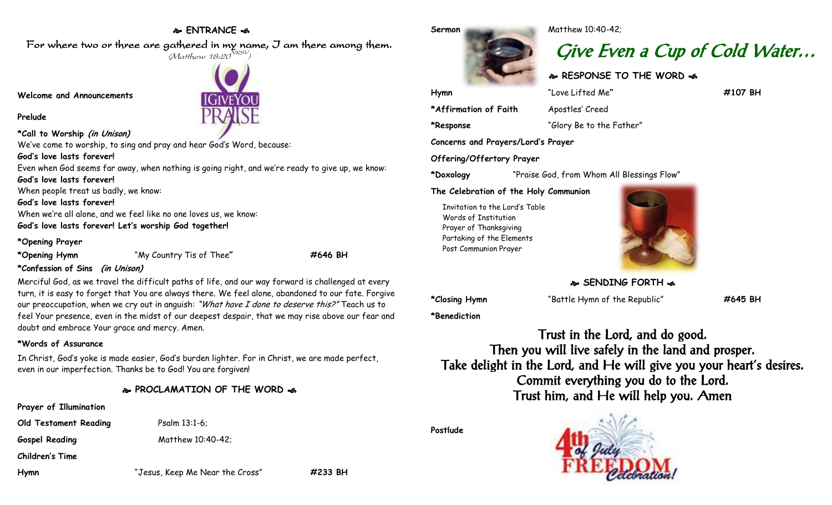## **ENTRANCE**

**IGIVEYOI** 

For where two or three are gathered in my name, I am there among them.  $(M$ atthew 18:20 $^{NRSV})$ 

**Welcome and Announcements**

**Prelude**

**\*Call to Worship (in Unison)**

We've come to worship, to sing and pray and hear God's Word, because:

**God's love lasts forever!**

Even when God seems far away, when nothing is going right, and we're ready to give up, we know: **God's love lasts forever!** When people treat us badly, we know: **God's love lasts forever!**

When we're all alone, and we feel like no one loves us, we know: **God's love lasts forever! Let's worship God together!**

### **\*Opening Prayer**

**\*Opening Hymn** "My Country Tis of Thee**" #646 BH**

## **\*Confession of Sins (in Unison)**

Merciful God, as we travel the difficult paths of life, and our way forward is challenged at every turn, it is easy to forget that You are always there. We feel alone, abandoned to our fate. Forgive our preoccupation, when we cry out in anguish: "What have I done to deserve this?" Teach us to feel Your presence, even in the midst of our deepest despair, that we may rise above our fear and doubt and embrace Your grace and mercy. Amen.

## **\*Words of Assurance**

In Christ, God's yoke is made easier, God's burden lighter. For in Christ, we are made perfect, even in our imperfection. Thanks be to God! You are forgiven!

**PROCLAMATION OF THE WORD** 

# **Prayer of Illumination**

**Old Testament Reading** Psalm 13:1-6;

Gospel Reading Matthew 10:40-42;

**Children's Time**

**Hymn** "Jesus, Keep Me Near the Cross" **#233 BH**

**Hymn** "Love Lifted Me**" #107 BH**

**\*Affirmation of Faith** Apostles' Creed

**\*Response** "Glory Be to the Father"

**Concerns and Prayers/Lord's Prayer**

**Offering/Offertory Prayer**

**\*Doxology** "Praise God, from Whom All Blessings Flow"

**The Celebration of the Holy Communion**

Invitation to the Lord's Table Words of Institution Prayer of Thanksgiving Partaking of the Elements Post Communion Prayer



**SENDING FORTH &** 

**\*Closing Hymn** "Battle Hymn of the Republic" **#645 BH**

**\*Benediction**

Trust in the Lord, and do good. Then you will live safely in the land and prosper. Take delight in the Lord, and He will give you your heart's desires. Commit everything you do to the Lord. Trust him, and He will help you. Amen

**Postlude**